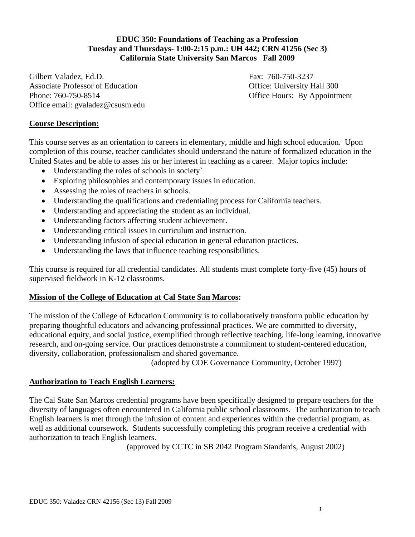### **EDUC 350: Foundations of Teaching as a Profession Tuesday and Thursdays- 1:00-2:15 p.m.: UH 442; CRN 41256 (Sec 3) California State University San Marcos Fall 2009**

Gilbert Valadez, Ed.D. Fax: 760-750-3237 Associate Professor of Education **Office: University Hall 300** Phone: 760-750-8514 Office Hours: By Appointment Office email: gvaladez@csusm.edu

### **Course Description:**

This course serves as an orientation to careers in elementary, middle and high school education. Upon completion of this course, teacher candidates should understand the nature of formalized education in the United States and be able to asses his or her interest in teaching as a career. Major topics include:

- Understanding the roles of schools in society
- Exploring philosophies and contemporary issues in education.
- Assessing the roles of teachers in schools.
- Understanding the qualifications and credentialing process for California teachers.
- Understanding and appreciating the student as an individual.
- Understanding factors affecting student achievement.
- Understanding critical issues in curriculum and instruction.
- Understanding infusion of special education in general education practices.
- Understanding the laws that influence teaching responsibilities.

This course is required for all credential candidates. All students must complete forty-five (45) hours of supervised fieldwork in K-12 classrooms.

#### **Mission of the College of Education at Cal State San Marcos:**

The mission of the College of Education Community is to collaboratively transform public education by preparing thoughtful educators and advancing professional practices. We are committed to diversity, educational equity, and social justice, exemplified through reflective teaching, life-long learning, innovative research, and on-going service. Our practices demonstrate a commitment to student-centered education, diversity, collaboration, professionalism and shared governance.

(adopted by COE Governance Community, October 1997)

### **Authorization to Teach English Learners:**

The Cal State San Marcos credential programs have been specifically designed to prepare teachers for the diversity of languages often encountered in California public school classrooms. The authorization to teach English learners is met through the infusion of content and experiences within the credential program, as well as additional coursework. Students successfully completing this program receive a credential with authorization to teach English learners.

(approved by CCTC in SB 2042 Program Standards, August 2002)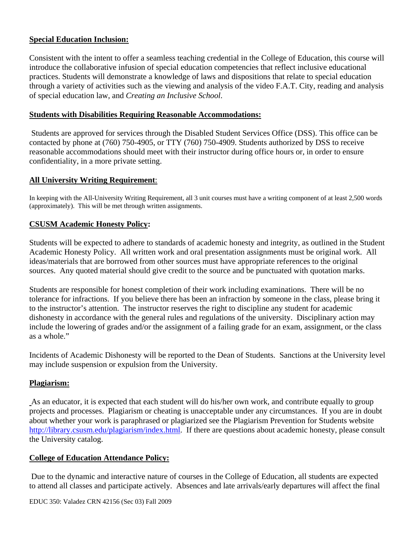#### **Special Education Inclusion:**

Consistent with the intent to offer a seamless teaching credential in the College of Education, this course will introduce the collaborative infusion of special education competencies that reflect inclusive educational practices. Students will demonstrate a knowledge of laws and dispositions that relate to special education through a variety of activities such as the viewing and analysis of the video F.A.T. City, reading and analysis of special education law, and *Creating an Inclusive School*.

#### **Students with Disabilities Requiring Reasonable Accommodations:**

Students are approved for services through the Disabled Student Services Office (DSS). This office can be contacted by phone at (760) 750-4905, or TTY (760) 750-4909. Students authorized by DSS to receive reasonable accommodations should meet with their instructor during office hours or, in order to ensure confidentiality, in a more private setting.

#### **All University Writing Requirement:**

 (approximately). This will be met through written assignments. In keeping with the All-University Writing Requirement, all 3 unit courses must have a writing component of at least 2,500 words

#### **CSUSM Academic Honesty Policy:**

Students will be expected to adhere to standards of academic honesty and integrity, as outlined in the Student Academic Honesty Policy. All written work and oral presentation assignments must be original work. All ideas/materials that are borrowed from other sources must have appropriate references to the original sources. Any quoted material should give credit to the source and be punctuated with quotation marks.

Students are responsible for honest completion of their work including examinations. There will be no tolerance for infractions. If you believe there has been an infraction by someone in the class, please bring it to the instructor's attention. The instructor reserves the right to discipline any student for academic dishonesty in accordance with the general rules and regulations of the university. Disciplinary action may include the lowering of grades and/or the assignment of a failing grade for an exam, assignment, or the class as a whole."

Incidents of Academic Dishonesty will be reported to the Dean of Students. Sanctions at the University level may include suspension or expulsion from the University.

#### **Plagiarism:**

As an educator, it is expected that each student will do his/her own work, and contribute equally to group projects and processes. Plagiarism or cheating is unacceptable under any circumstances. If you are in doubt about whether your work is paraphrased or plagiarized see the Plagiarism Prevention for Students website http://library.csusm.edu/plagiarism/index.html. If there are questions about academic honesty, please consult the University catalog.

#### **College of Education Attendance Policy:**

 Due to the dynamic and interactive nature of courses in the College of Education, all students are expected to attend all classes and participate actively. Absences and late arrivals/early departures will affect the final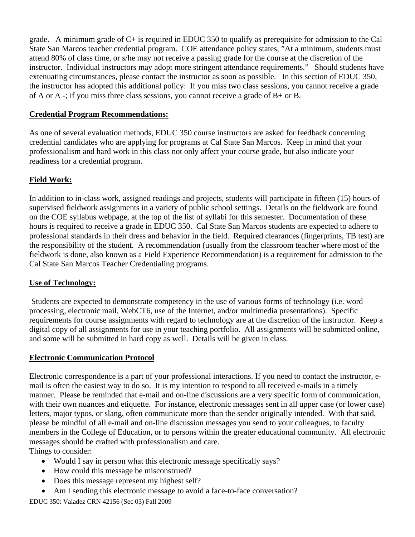grade. A minimum grade of  $C<sub>+</sub>$  is required in EDUC 350 to qualify as prerequisite for admission to the Cal State San Marcos teacher credential program. COE attendance policy states, "At a minimum, students must attend 80% of class time, or s/he may not receive a passing grade for the course at the discretion of the instructor. Individual instructors may adopt more stringent attendance requirements." Should students have extenuating circumstances, please contact the instructor as soon as possible. In this section of EDUC 350, the instructor has adopted this additional policy: If you miss two class sessions, you cannot receive a grade of A or A -; if you miss three class sessions, you cannot receive a grade of B+ or B.

### **Credential Program Recommendations:**

As one of several evaluation methods, EDUC 350 course instructors are asked for feedback concerning credential candidates who are applying for programs at Cal State San Marcos. Keep in mind that your professionalism and hard work in this class not only affect your course grade, but also indicate your readiness for a credential program.

### **Field Work:**

In addition to in-class work, assigned readings and projects, students will participate in fifteen (15) hours of supervised fieldwork assignments in a variety of public school settings. Details on the fieldwork are found on the COE syllabus webpage, at the top of the list of syllabi for this semester. Documentation of these hours is required to receive a grade in EDUC 350. Cal State San Marcos students are expected to adhere to professional standards in their dress and behavior in the field. Required clearances (fingerprints, TB test) are the responsibility of the student. A recommendation (usually from the classroom teacher where most of the fieldwork is done, also known as a Field Experience Recommendation) is a requirement for admission to the Cal State San Marcos Teacher Credentialing programs.

### **Use of Technology:**

 Students are expected to demonstrate competency in the use of various forms of technology (i.e. word processing, electronic mail, WebCT6, use of the Internet, and/or multimedia presentations). Specific requirements for course assignments with regard to technology are at the discretion of the instructor. Keep a digital copy of all assignments for use in your teaching portfolio. All assignments will be submitted online, and some will be submitted in hard copy as well. Details will be given in class.

### **Electronic Communication Protocol**

Electronic correspondence is a part of your professional interactions. If you need to contact the instructor, email is often the easiest way to do so. It is my intention to respond to all received e-mails in a timely manner. Please be reminded that e-mail and on-line discussions are a very specific form of communication, with their own nuances and etiquette. For instance, electronic messages sent in all upper case (or lower case) letters, major typos, or slang, often communicate more than the sender originally intended. With that said, please be mindful of all e-mail and on-line discussion messages you send to your colleagues, to faculty members in the College of Education, or to persons within the greater educational community. All electronic messages should be crafted with professionalism and care.

Things to consider:

- Would I say in person what this electronic message specifically says?
- How could this message be misconstrued?
- Does this message represent my highest self?
- Am I sending this electronic message to avoid a face-to-face conversation?<br>EDUC 350: Valadez CRN 42156 (Sec 03) Fall 2009

EDUC 350: Valadez CRN 42156 (Sec 03) Fall 2009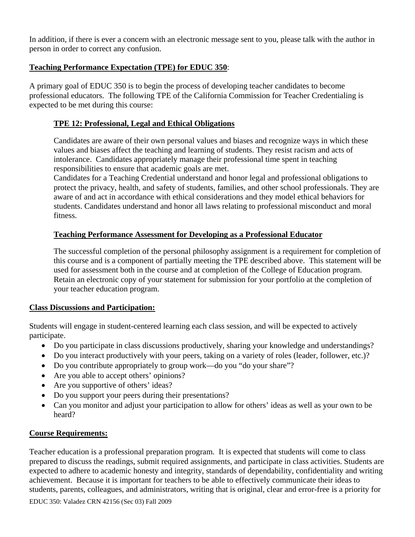In addition, if there is ever a concern with an electronic message sent to you, please talk with the author in person in order to correct any confusion.

### **Teaching Performance Expectation (TPE) for EDUC 350**:

A primary goal of EDUC 350 is to begin the process of developing teacher candidates to become professional educators. The following TPE of the California Commission for Teacher Credentialing is expected to be met during this course:

### **TPE 12: Professional, Legal and Ethical Obligations**

Candidates are aware of their own personal values and biases and recognize ways in which these values and biases affect the teaching and learning of students. They resist racism and acts of intolerance. Candidates appropriately manage their professional time spent in teaching responsibilities to ensure that academic goals are met.

Candidates for a Teaching Credential understand and honor legal and professional obligations to protect the privacy, health, and safety of students, families, and other school professionals. They are aware of and act in accordance with ethical considerations and they model ethical behaviors for students. Candidates understand and honor all laws relating to professional misconduct and moral fitness.

### **Teaching Performance Assessment for Developing as a Professional Educator**

The successful completion of the personal philosophy assignment is a requirement for completion of this course and is a component of partially meeting the TPE described above. This statement will be used for assessment both in the course and at completion of the College of Education program. Retain an electronic copy of your statement for submission for your portfolio at the completion of your teacher education program.

### **Class Discussions and Participation:**

Students will engage in student-centered learning each class session, and will be expected to actively participate.

- Do you participate in class discussions productively, sharing your knowledge and understandings?
- Do you interact productively with your peers, taking on a variety of roles (leader, follower, etc.)?
- Do you contribute appropriately to group work—do you "do your share"?
- Are you able to accept others' opinions?
- Are you supportive of others' ideas?
- Do you support your peers during their presentations?
- Can you monitor and adjust your participation to allow for others' ideas as well as your own to be heard?

### **Course Requirements:**

Teacher education is a professional preparation program. It is expected that students will come to class prepared to discuss the readings, submit required assignments, and participate in class activities. Students are expected to adhere to academic honesty and integrity, standards of dependability, confidentiality and writing achievement. Because it is important for teachers to be able to effectively communicate their ideas to students, parents, colleagues, and administrators, writing that is original, clear and error-free is a priority for

EDUC 350: Valadez CRN 42156 (Sec 03) Fall 2009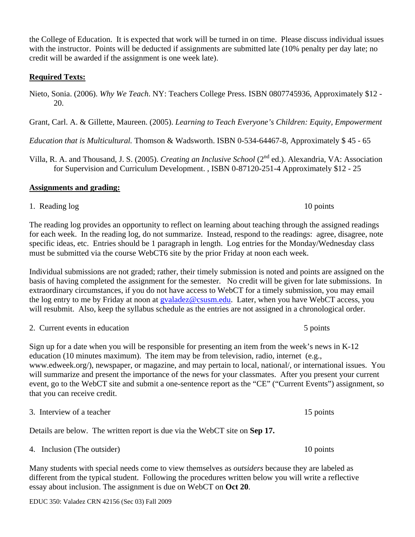the College of Education. It is expected that work will be turned in on time. Please discuss individual issues with the instructor. Points will be deducted if assignments are submitted late (10% penalty per day late; no credit will be awarded if the assignment is one week late).

## **Required Texts:**

Nieto, Sonia. (2006). *Why We Teach*. NY: Teachers College Press. ISBN 0807745936, Approximately \$12 - 20.

Grant, Carl. A. & Gillette, Maureen. (2005). *Learning to Teach Everyone's Children: Equity, Empowerment* 

*Education that is Multicultural.* Thomson & Wadsworth. ISBN 0-534-64467-8, Approximately \$ 45 - 65

Villa, R. A. and Thousand, J. S. (2005). *Creating an Inclusive School* (2nd ed.). Alexandria, VA: Association for Supervision and Curriculum Development. , ISBN 0-87120-251-4 Approximately \$12 - 25

# **Assignments and grading:**

1. Reading log 10 points 10 points

The reading log provides an opportunity to reflect on learning about teaching through the assigned readings for each week. In the reading log, do not summarize. Instead, respond to the readings: agree, disagree, note specific ideas, etc. Entries should be 1 paragraph in length. Log entries for the Monday/Wednesday class must be submitted via the course WebCT6 site by the prior Friday at noon each week.

Individual submissions are not graded; rather, their timely submission is noted and points are assigned on the basis of having completed the assignment for the semester. No credit will be given for late submissions. In extraordinary circumstances, if you do not have access to WebCT for a timely submission, you may email the log entry to me by Friday at noon at gvaladez@csusm.edu. Later, when you have WebCT access, you will resubmit. Also, keep the syllabus schedule as the entries are not assigned in a chronological order.

|  | 2. Current events in education | 5 points |
|--|--------------------------------|----------|
|--|--------------------------------|----------|

Sign up for a date when you will be responsible for presenting an item from the week's news in K-12 education (10 minutes maximum). The item may be from television, radio, internet (e.g., www.edweek.org/), newspaper, or magazine, and may pertain to local, national/, or international issues. You will summarize and present the importance of the news for your classmates. After you present your current event, go to the WebCT site and submit a one-sentence report as the "CE" ("Current Events") assignment, so that you can receive credit.

3. Interview of a teacher 15 points

Details are below. The written report is due via the WebCT site on **Sep 17.** 

4. Inclusion (The outsider) 10 points

Many students with special needs come to view themselves as *outsiders* because they are labeled as different from the typical student. Following the procedures written below you will write a reflective essay about inclusion. The assignment is due on WebCT on **Oct 20**.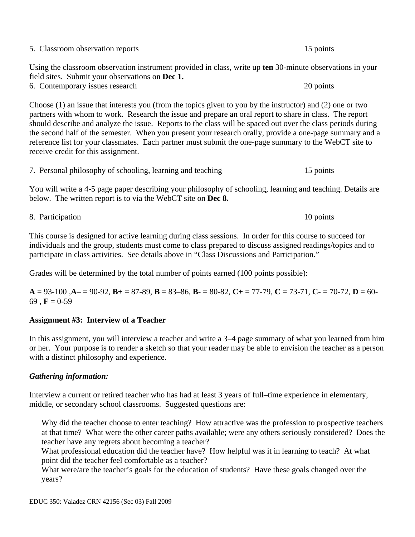| 5. Classroom observation reports                                                                                                                             | 15 points |
|--------------------------------------------------------------------------------------------------------------------------------------------------------------|-----------|
| Using the classroom observation instrument provided in class, write up ten 30-minute observations in your<br>field sites. Submit your observations on Dec 1. |           |
| 6. Contemporary issues research                                                                                                                              | 20 points |

Choose (1) an issue that interests you (from the topics given to you by the instructor) and (2) one or two partners with whom to work. Research the issue and prepare an oral report to share in class. The report should describe and analyze the issue. Reports to the class will be spaced out over the class periods during the second half of the semester. When you present your research orally, provide a one-page summary and a reference list for your classmates. Each partner must submit the one-page summary to the WebCT site to receive credit for this assignment.

|  |  | 7. Personal philosophy of schooling, learning and teaching |  |  |  | 15 points |
|--|--|------------------------------------------------------------|--|--|--|-----------|
|--|--|------------------------------------------------------------|--|--|--|-----------|

You will write a 4-5 page paper describing your philosophy of schooling, learning and teaching. Details are below. The written report is to via the WebCT site on **Dec 8.** 

8. Participation 10 points

This course is designed for active learning during class sessions. In order for this course to succeed for individuals and the group, students must come to class prepared to discuss assigned readings/topics and to participate in class activities. See details above in "Class Discussions and Participation."

Grades will be determined by the total number of points earned (100 points possible):

**A** = 93-100 ,**A**– = 90-92, **B+** = 87-89, **B** = 83–86, **B**- = 80-82, **C+** = 77-79, **C** = 73-71, **C**- = 70-72, **D** = 60- 69,  $\mathbf{F} = 0.59$ 

### **Assignment #3: Interview of a Teacher**

In this assignment, you will interview a teacher and write a 3–4 page summary of what you learned from him or her. Your purpose is to render a sketch so that your reader may be able to envision the teacher as a person with a distinct philosophy and experience.

#### *Gathering information:*

Interview a current or retired teacher who has had at least 3 years of full–time experience in elementary, middle, or secondary school classrooms. Suggested questions are:

teacher have any regrets about becoming a teacher? Why did the teacher choose to enter teaching? How attractive was the profession to prospective teachers at that time? What were the other career paths available; were any others seriously considered? Does the

What professional education did the teacher have? How helpful was it in learning to teach? At what point did the teacher feel comfortable as a teacher?

What were/are the teacher's goals for the education of students? Have these goals changed over the years?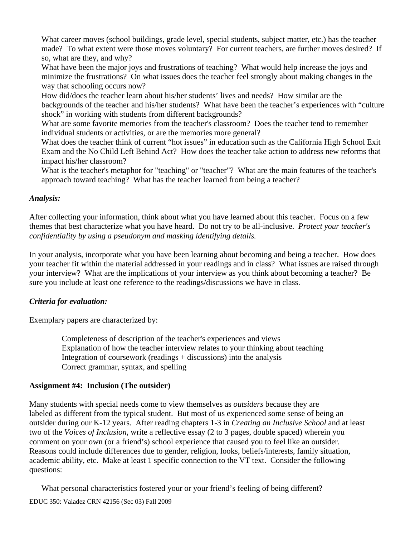What career moves (school buildings, grade level, special students, subject matter, etc.) has the teacher made? To what extent were those moves voluntary? For current teachers, are further moves desired? If so, what are they, and why?

What have been the major joys and frustrations of teaching? What would help increase the joys and minimize the frustrations? On what issues does the teacher feel strongly about making changes in the way that schooling occurs now?

How did/does the teacher learn about his/her students' lives and needs? How similar are the backgrounds of the teacher and his/her students? What have been the teacher's experiences with "culture shock" in working with students from different backgrounds?

What are some favorite memories from the teacher's classroom? Does the teacher tend to remember individual students or activities, or are the memories more general?

What does the teacher think of current "hot issues" in education such as the California High School Exit Exam and the No Child Left Behind Act? How does the teacher take action to address new reforms that impact his/her classroom?

What is the teacher's metaphor for "teaching" or "teacher"? What are the main features of the teacher's approach toward teaching? What has the teacher learned from being a teacher?

### *Analysis:*

After collecting your information, think about what you have learned about this teacher. Focus on a few themes that best characterize what you have heard. Do not try to be all-inclusive. *Protect your teacher's confidentiality by using a pseudonym and masking identifying details.* 

In your analysis, incorporate what you have been learning about becoming and being a teacher. How does your teacher fit within the material addressed in your readings and in class? What issues are raised through your interview? What are the implications of your interview as you think about becoming a teacher? Be sure you include at least one reference to the readings/discussions we have in class.

### *Criteria for evaluation:*

Exemplary papers are characterized by:

Completeness of description of the teacher's experiences and views Explanation of how the teacher interview relates to your thinking about teaching Integration of coursework (readings + discussions) into the analysis Correct grammar, syntax, and spelling

### **Assignment #4: Inclusion (The outsider)**

Many students with special needs come to view themselves as *outsiders* because they are labeled as different from the typical student. But most of us experienced some sense of being an outsider during our K-12 years. After reading chapters 1-3 in *Creating an Inclusive School* and at least two of the *Voices of Inclusion*, write a reflective essay (2 to 3 pages, double spaced) wherein you comment on your own (or a friend's) school experience that caused you to feel like an outsider. Reasons could include differences due to gender, religion, looks, beliefs/interests, family situation, academic ability, etc. Make at least 1 specific connection to the VT text. Consider the following questions:

EDUC 350: Valadez CRN 42156 (Sec 03) Fall 2009 What personal characteristics fostered your or your friend's feeling of being different? EDUC 350: Valadez CRN 42156 (Sec 03) Fall 2009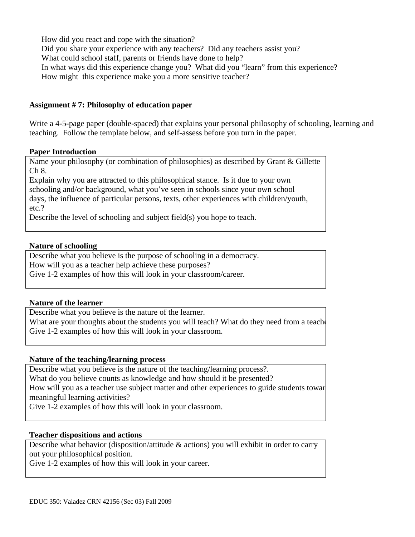How did you react and cope with the situation? Did you share your experience with any teachers? Did any teachers assist you? What could school staff, parents or friends have done to help? In what ways did this experience change you? What did you "learn" from this experience? How might this experience make you a more sensitive teacher?

#### **Assignment # 7: Philosophy of education paper**

Write a 4-5-page paper (double-spaced) that explains your personal philosophy of schooling, learning and teaching. Follow the template below, and self-assess before you turn in the paper.

#### **Paper Introduction**

Name your philosophy (or combination of philosophies) as described by Grant & Gillette Ch 8.

Explain why you are attracted to this philosophical stance. Is it due to your own schooling and/or background, what you've seen in schools since your own school days, the influence of particular persons, texts, other experiences with children/youth, etc.?

Describe the level of schooling and subject field(s) you hope to teach.

#### **Nature of schooling**

Describe what you believe is the purpose of schooling in a democracy. How will you as a teacher help achieve these purposes? Give 1-2 examples of how this will look in your classroom/career.

#### **Nature of the learner**

Describe what you believe is the nature of the learner.

What are your thoughts about the students you will teach? What do they need from a teacher Give 1-2 examples of how this will look in your classroom.

#### **Nature of the teaching/learning process**

Describe what you believe is the nature of the teaching/learning process?.

What do you believe counts as knowledge and how should it be presented?

 meaningful learning activities? How will you as a teacher use subject matter and other experiences to guide students towar

Give 1-2 examples of how this will look in your classroom.

#### **Teacher dispositions and actions**

Describe what behavior (disposition/attitude & actions) you will exhibit in order to carry out your philosophical position.

Give 1-2 examples of how this will look in your career.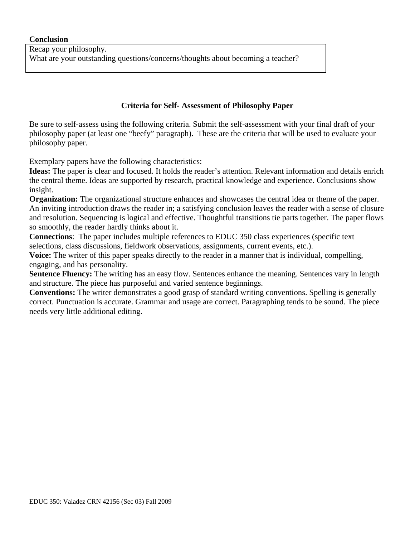### **Criteria for Self- Assessment of Philosophy Paper**

Be sure to self-assess using the following criteria. Submit the self-assessment with your final draft of your philosophy paper (at least one "beefy" paragraph). These are the criteria that will be used to evaluate your philosophy paper.

Exemplary papers have the following characteristics:

**Ideas:** The paper is clear and focused. It holds the reader's attention. Relevant information and details enrich the central theme. Ideas are supported by research, practical knowledge and experience. Conclusions show insight.

**Organization:** The organizational structure enhances and showcases the central idea or theme of the paper. An inviting introduction draws the reader in; a satisfying conclusion leaves the reader with a sense of closure and resolution. Sequencing is logical and effective. Thoughtful transitions tie parts together. The paper flows so smoothly, the reader hardly thinks about it.

**Connections**: The paper includes multiple references to EDUC 350 class experiences (specific text selections, class discussions, fieldwork observations, assignments, current events, etc.).

**Voice:** The writer of this paper speaks directly to the reader in a manner that is individual, compelling, engaging, and has personality.

**Sentence Fluency:** The writing has an easy flow. Sentences enhance the meaning. Sentences vary in length and structure. The piece has purposeful and varied sentence beginnings.

**Conventions:** The writer demonstrates a good grasp of standard writing conventions. Spelling is generally correct. Punctuation is accurate. Grammar and usage are correct. Paragraphing tends to be sound. The piece needs very little additional editing.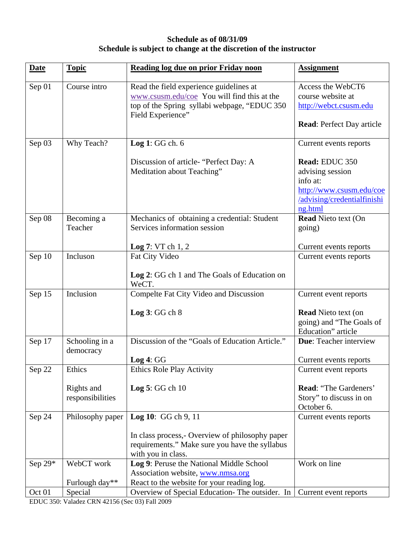## **Schedule as of 08/31/09 Schedule is subject to change at the discretion of the instructor**

| <b>Date</b> | <b>Topic</b>                                                                                                                                                                | Reading log due on prior Friday noon                                                                                     | <b>Assignment</b>                                                                                                    |
|-------------|-----------------------------------------------------------------------------------------------------------------------------------------------------------------------------|--------------------------------------------------------------------------------------------------------------------------|----------------------------------------------------------------------------------------------------------------------|
| Sep 01      | Course intro<br>Read the field experience guidelines at<br>www.csusm.edu/coe You will find this at the<br>top of the Spring syllabi webpage, "EDUC 350<br>Field Experience" |                                                                                                                          | Access the WebCT6<br>course website at<br>http://webct.csusm.edu<br><b>Read:</b> Perfect Day article                 |
| Sep 03      | Why Teach?                                                                                                                                                                  | Log 1: GG ch. 6                                                                                                          | Current events reports                                                                                               |
|             |                                                                                                                                                                             | Discussion of article- "Perfect Day: A<br>Meditation about Teaching"                                                     | Read: EDUC 350<br>advising session<br>info at:<br>http://www.csusm.edu/coe<br>/advising/credentialfinishi<br>ng.html |
| Sep 08      | Becoming a                                                                                                                                                                  | Mechanics of obtaining a credential: Student                                                                             | <b>Read Nieto text (On</b>                                                                                           |
|             | Teacher                                                                                                                                                                     | Services information session                                                                                             | going)                                                                                                               |
|             |                                                                                                                                                                             | Log 7: VTch 1, 2                                                                                                         | Current events reports                                                                                               |
| Sep 10      | Incluson                                                                                                                                                                    | Fat City Video<br>Log 2: GG ch 1 and The Goals of Education on<br>WeCT.                                                  | Current events reports                                                                                               |
| Sep 15      | Inclusion                                                                                                                                                                   | Compelte Fat City Video and Discussion                                                                                   | Current event reports                                                                                                |
|             |                                                                                                                                                                             | Log $3:GGch 8$                                                                                                           | <b>Read Nieto text (on</b><br>going) and "The Goals of<br>Education" article                                         |
| Sep 17      | Schooling in a<br>democracy                                                                                                                                                 | Discussion of the "Goals of Education Article."                                                                          | Due: Teacher interview                                                                                               |
|             |                                                                                                                                                                             | Log 4: GG                                                                                                                | Current events reports                                                                                               |
| Sep 22      | Ethics                                                                                                                                                                      | Ethics Role Play Activity                                                                                                | Current event reports                                                                                                |
|             | Rights and<br>responsibilities                                                                                                                                              | Log $5:GG$ ch $10$                                                                                                       | Read: "The Gardeners'<br>Story" to discuss in on<br>October 6.                                                       |
| Sep 24      | Philosophy paper                                                                                                                                                            | Log 10: GG ch 9, 11                                                                                                      | Current events reports                                                                                               |
|             |                                                                                                                                                                             | In class process, - Overview of philosophy paper<br>requirements." Make sure you have the syllabus<br>with you in class. |                                                                                                                      |
| Sep 29*     | WebCT work                                                                                                                                                                  | Log 9: Peruse the National Middle School<br>Association website, www.nmsa.org                                            | Work on line                                                                                                         |
|             | Furlough day**                                                                                                                                                              | React to the website for your reading log.                                                                               |                                                                                                                      |
| Oct 01      | Special                                                                                                                                                                     | Overview of Special Education-The outsider. In                                                                           | Current event reports                                                                                                |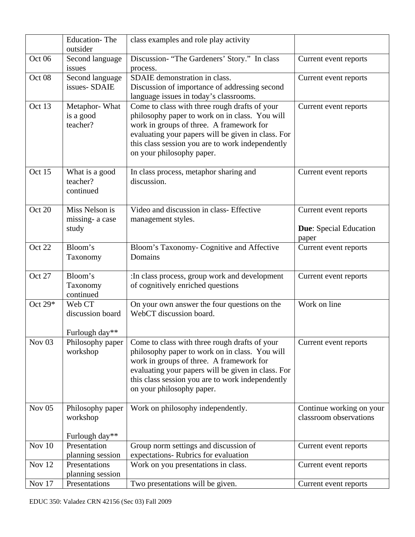|                   | <b>Education-The</b><br>outsider                      | class examples and role play activity                                                                                                                                                                                                                                              |                                                                 |
|-------------------|-------------------------------------------------------|------------------------------------------------------------------------------------------------------------------------------------------------------------------------------------------------------------------------------------------------------------------------------------|-----------------------------------------------------------------|
| Oct <sub>06</sub> | Second language<br>issues                             | Discussion-"The Gardeners' Story." In class<br>process.                                                                                                                                                                                                                            | Current event reports                                           |
| Oct 08            | Second language<br>issues-SDAIE                       | SDAIE demonstration in class.<br>Discussion of importance of addressing second<br>language issues in today's classrooms.                                                                                                                                                           | Current event reports                                           |
| Oct 13            | Metaphor-What<br>is a good<br>teacher?                | Come to class with three rough drafts of your<br>philosophy paper to work on in class. You will<br>work in groups of three. A framework for<br>evaluating your papers will be given in class. For<br>this class session you are to work independently<br>on your philosophy paper. | Current event reports                                           |
| Oct 15            | What is a good<br>teacher?<br>continued               | In class process, metaphor sharing and<br>discussion.                                                                                                                                                                                                                              | Current event reports                                           |
| Oct 20            | Miss Nelson is<br>missing-a case<br>study             | Video and discussion in class- Effective<br>management styles.                                                                                                                                                                                                                     | Current event reports<br><b>Due:</b> Special Education<br>paper |
| Oct 22            | Bloom's<br>Taxonomy                                   | Bloom's Taxonomy- Cognitive and Affective<br>Domains                                                                                                                                                                                                                               | Current event reports                                           |
| Oct 27            | Bloom's<br>Taxonomy<br>continued                      | :In class process, group work and development<br>of cognitively enriched questions                                                                                                                                                                                                 | Current event reports                                           |
| Oct 29*           | Web CT<br>discussion board<br>Furlough day**          | On your own answer the four questions on the<br>WebCT discussion board.                                                                                                                                                                                                            | Work on line                                                    |
| Nov <sub>03</sub> | Philosophy paper<br>workshop                          | Come to class with three rough drafts of your<br>philosophy paper to work on in class. You will<br>work in groups of three. A framework for<br>evaluating your papers will be given in class. For<br>this class session you are to work independently<br>on your philosophy paper. | Current event reports                                           |
| Nov $05$          | Philosophy paper<br>workshop<br>Furlough day**        | Work on philosophy independently.                                                                                                                                                                                                                                                  | Continue working on your<br>classroom observations              |
| Nov 10            | Presentation                                          | Group norm settings and discussion of                                                                                                                                                                                                                                              | Current event reports                                           |
| <b>Nov 12</b>     | planning session<br>Presentations<br>planning session | expectations-Rubrics for evaluation<br>Work on you presentations in class.                                                                                                                                                                                                         | Current event reports                                           |
| Nov 17            | Presentations                                         | Two presentations will be given.                                                                                                                                                                                                                                                   | Current event reports                                           |